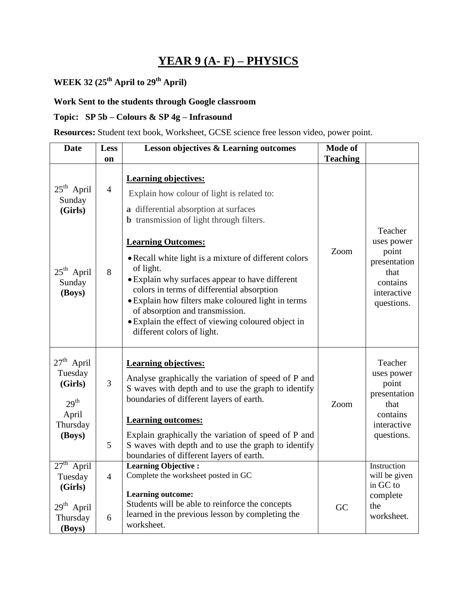## **YEAR 9 (A- F) – PHYSICS**

**WEEK 32 (25th April to 29th April)**

### **Work Sent to the students through Google classroom**

### **Topic: SP 5b – Colours & SP 4g – Infrasound**

**Resources:** Student text book, Worksheet, GCSE science free lesson video, power point.

| <b>Date</b>                                                                                     | <b>Less</b>               | <b>Lesson objectives &amp; Learning outcomes</b>                                                                                                                                                                                                                                                                                                                                                                                                                                                                                                       | <b>Mode of</b>          |                                                                                                 |
|-------------------------------------------------------------------------------------------------|---------------------------|--------------------------------------------------------------------------------------------------------------------------------------------------------------------------------------------------------------------------------------------------------------------------------------------------------------------------------------------------------------------------------------------------------------------------------------------------------------------------------------------------------------------------------------------------------|-------------------------|-------------------------------------------------------------------------------------------------|
| $25th$ April<br>Sunday<br>(Girls)<br>$25th$ April<br>Sunday<br>(Boys)                           | on<br>$\overline{4}$<br>8 | <b>Learning objectives:</b><br>Explain how colour of light is related to:<br>a differential absorption at surfaces<br><b>b</b> transmission of light through filters.<br><b>Learning Outcomes:</b><br>• Recall white light is a mixture of different colors<br>of light.<br>• Explain why surfaces appear to have different<br>colors in terms of differential absorption<br>• Explain how filters make coloured light in terms<br>of absorption and transmission.<br>· Explain the effect of viewing coloured object in<br>different colors of light. | <b>Teaching</b><br>Zoom | Teacher<br>uses power<br>point<br>presentation<br>that<br>contains<br>interactive<br>questions. |
| $27th$ April<br>Tuesday<br>(Girls)<br>29 <sup>th</sup><br>April<br>Thursday<br>(Boys)           | 3<br>5                    | <b>Learning objectives:</b><br>Analyse graphically the variation of speed of P and<br>S waves with depth and to use the graph to identify<br>boundaries of different layers of earth.<br><b>Learning outcomes:</b><br>Explain graphically the variation of speed of P and<br>S waves with depth and to use the graph to identify<br>boundaries of different layers of earth.                                                                                                                                                                           | Zoom                    | Teacher<br>uses power<br>point<br>presentation<br>that<br>contains<br>interactive<br>questions. |
| $27^{\text{th}}$<br>April<br>Tuesday<br>(Girls)<br>29 <sup>th</sup> April<br>Thursday<br>(Boys) | $\overline{4}$<br>6       | <b>Learning Objective:</b><br>Complete the worksheet posted in GC<br><b>Learning outcome:</b><br>Students will be able to reinforce the concepts<br>learned in the previous lesson by completing the<br>worksheet.                                                                                                                                                                                                                                                                                                                                     | GC                      | Instruction<br>will be given<br>in GC to<br>complete<br>the<br>worksheet.                       |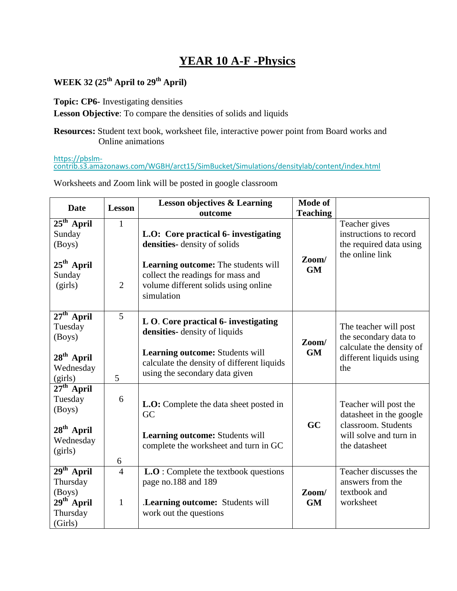## **YEAR 10 A-F -Physics**

### **WEEK 32 (25th April to 29th April)**

**Topic: CP6-** Investigating densities

**Lesson Objective**: To compare the densities of solids and liquids

**Resources:** Student text book, worksheet file, interactive power point from Board works and Online animations

[https://pbslm](about:blank)[contrib.s3.amazonaws.com/WGBH/arct15/SimBucket/Simulations/densitylab/content/index.html](about:blank)

Worksheets and Zoom link will be posted in google classroom

| <b>Date</b>                                                               | <b>Lesson</b>                  | <b>Lesson objectives &amp; Learning</b><br>outcome                                                                                                                                                           | <b>Mode of</b><br><b>Teaching</b> |                                                                                                                    |
|---------------------------------------------------------------------------|--------------------------------|--------------------------------------------------------------------------------------------------------------------------------------------------------------------------------------------------------------|-----------------------------------|--------------------------------------------------------------------------------------------------------------------|
| $25th$ April<br>Sunday<br>(Boys)<br>$25th$ April<br>Sunday<br>(girls)     | $\mathbf{1}$<br>$\overline{2}$ | L.O: Core practical 6- investigating<br>densities-density of solids<br><b>Learning outcome:</b> The students will<br>collect the readings for mass and<br>volume different solids using online<br>simulation | Zoom/<br><b>GM</b>                | Teacher gives<br>instructions to record<br>the required data using<br>the online link                              |
| $27th$ April<br>Tuesday<br>(Boys)<br>$28th$ April<br>Wednesday<br>(girls) | $\overline{5}$<br>5            | L O. Core practical 6- investigating<br>densities-density of liquids<br><b>Learning outcome:</b> Students will<br>calculate the density of different liquids<br>using the secondary data given               | Zoom/<br><b>GM</b>                | The teacher will post<br>the secondary data to<br>calculate the density of<br>different liquids using<br>the       |
| $27th$ April<br>Tuesday<br>(Boys)<br>$28th$ April<br>Wednesday<br>(girls) | 6<br>6                         | L.O: Complete the data sheet posted in<br>GC<br>Learning outcome: Students will<br>complete the worksheet and turn in GC                                                                                     | GC                                | Teacher will post the<br>datasheet in the google<br>classroom. Students<br>will solve and turn in<br>the datasheet |
| $29th$ April<br>Thursday<br>(Boys)<br>$29th$ April<br>Thursday<br>(Girls) | $\overline{4}$<br>$\mathbf{1}$ | <b>L.O</b> : Complete the textbook questions<br>page no.188 and 189<br>.Learning outcome: Students will<br>work out the questions                                                                            | Zoom/<br><b>GM</b>                | Teacher discusses the<br>answers from the<br>textbook and<br>worksheet                                             |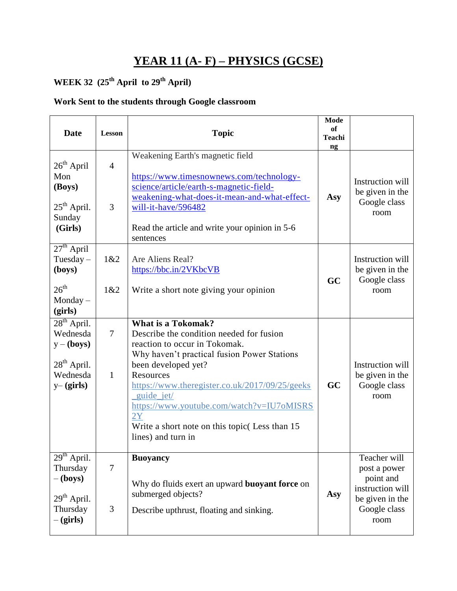## **YEAR 11 (A- F) – PHYSICS (GCSE)**

# **WEEK 32 (25th April to 29th April)**

### **Work Sent to the students through Google classroom**

| <b>Date</b>                                                                                           | Lesson                         | <b>Topic</b>                                                                                                                                                                                                                                                                                                                                                                          | <b>Mode</b><br>of<br><b>Teachi</b><br>ng |                                                                                                          |
|-------------------------------------------------------------------------------------------------------|--------------------------------|---------------------------------------------------------------------------------------------------------------------------------------------------------------------------------------------------------------------------------------------------------------------------------------------------------------------------------------------------------------------------------------|------------------------------------------|----------------------------------------------------------------------------------------------------------|
| $26th$ April<br>Mon<br>(Boys)<br>$25th$ April.<br>Sunday<br>(Girls)                                   | $\overline{4}$<br>3            | Weakening Earth's magnetic field<br>https://www.timesnownews.com/technology-<br>science/article/earth-s-magnetic-field-<br>weakening-what-does-it-mean-and-what-effect-<br>will-it-have/596482<br>Read the article and write your opinion in 5-6<br>sentences                                                                                                                         | Asy                                      | Instruction will<br>be given in the<br>Google class<br>room                                              |
| $27th$ April<br>Tuesday $-$<br>(boys)<br>$26^{\text{th}}$<br>$Monday -$<br>(girls)                    | 1&2<br>1&2                     | Are Aliens Real?<br>https://bbc.in/2VKbcVB<br>Write a short note giving your opinion                                                                                                                                                                                                                                                                                                  | GC                                       | Instruction will<br>be given in the<br>Google class<br>room                                              |
| $28th$ April.<br>Wednesda<br>$y - ($ boys $)$<br>28 <sup>th</sup> April.<br>Wednesda<br>$y - (girls)$ | $\overline{7}$<br>$\mathbf{1}$ | <b>What is a Tokomak?</b><br>Describe the condition needed for fusion<br>reaction to occur in Tokomak.<br>Why haven't practical fusion Power Stations<br>been developed yet?<br>Resources<br>https://www.theregister.co.uk/2017/09/25/geeks<br>_guide_jet/<br>https://www.youtube.com/watch?v=IU7oMISRS<br>2Y<br>Write a short note on this topic (Less than 15<br>lines) and turn in | GC                                       | Instruction will<br>be given in the<br>Google class<br>room                                              |
| $29th$ April.<br>Thursday<br>$-(\mathbf{boys})$<br>29 <sup>th</sup> April.<br>Thursday<br>$-(girls)$  | $\overline{7}$<br>3            | <b>Buoyancy</b><br>Why do fluids exert an upward <b>buoyant force</b> on<br>submerged objects?<br>Describe upthrust, floating and sinking.                                                                                                                                                                                                                                            | Asy                                      | Teacher will<br>post a power<br>point and<br>instruction will<br>be given in the<br>Google class<br>room |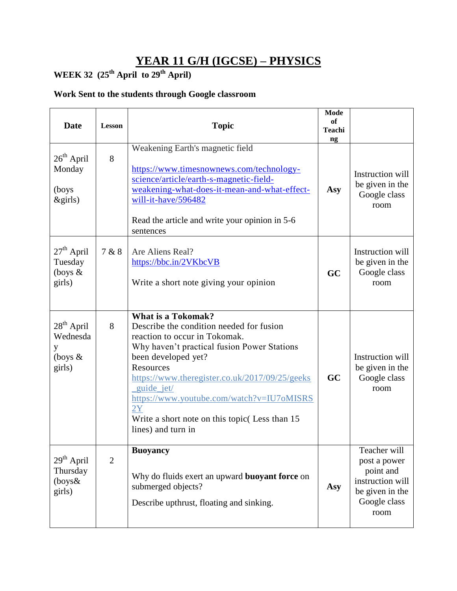## **YEAR 11 G/H (IGCSE) – PHYSICS**

### **WEEK 32 (25th April to 29th April)**

### **Work Sent to the students through Google classroom**

| <b>Date</b>                                                       | <b>Lesson</b>  | <b>Topic</b>                                                                                                                                                                                                                                                                                                                                                                   | <b>Mode</b><br>of<br><b>Teachi</b><br>ng |                                                                                                          |
|-------------------------------------------------------------------|----------------|--------------------------------------------------------------------------------------------------------------------------------------------------------------------------------------------------------------------------------------------------------------------------------------------------------------------------------------------------------------------------------|------------------------------------------|----------------------------------------------------------------------------------------------------------|
| $26th$ April<br>Monday<br>(boys<br>$\&$ girls)                    | 8              | Weakening Earth's magnetic field<br>https://www.timesnownews.com/technology-<br>science/article/earth-s-magnetic-field-<br>weakening-what-does-it-mean-and-what-effect-<br>will-it-have/596482<br>Read the article and write your opinion in 5-6<br>sentences                                                                                                                  | Asy                                      | Instruction will<br>be given in the<br>Google class<br>room                                              |
| $27th$ April<br>Tuesday<br>(boys $\&$<br>girls)                   | 7 & 8          | Are Aliens Real?<br>https://bbc.in/2VKbcVB<br>Write a short note giving your opinion                                                                                                                                                                                                                                                                                           | GC                                       | Instruction will<br>be given in the<br>Google class<br>room                                              |
| $28th$ April<br>Wednesda<br>y<br>(boys $\&$<br>girls)             | 8              | What is a Tokomak?<br>Describe the condition needed for fusion<br>reaction to occur in Tokomak.<br>Why haven't practical fusion Power Stations<br>been developed yet?<br>Resources<br>https://www.theregister.co.uk/2017/09/25/geeks<br>_guide_jet/<br>https://www.youtube.com/watch?v=IU7oMISRS<br>2Y<br>Write a short note on this topic (Less than 15<br>lines) and turn in | GC                                       | Instruction will<br>be given in the<br>Google class<br>room                                              |
| 29 <sup>th</sup> April<br>Thursday<br>$(\text{boys}\&)$<br>girls) | $\overline{2}$ | <b>Buoyancy</b><br>Why do fluids exert an upward <b>buoyant force</b> on<br>submerged objects?<br>Describe upthrust, floating and sinking.                                                                                                                                                                                                                                     | Asy                                      | Teacher will<br>post a power<br>point and<br>instruction will<br>be given in the<br>Google class<br>room |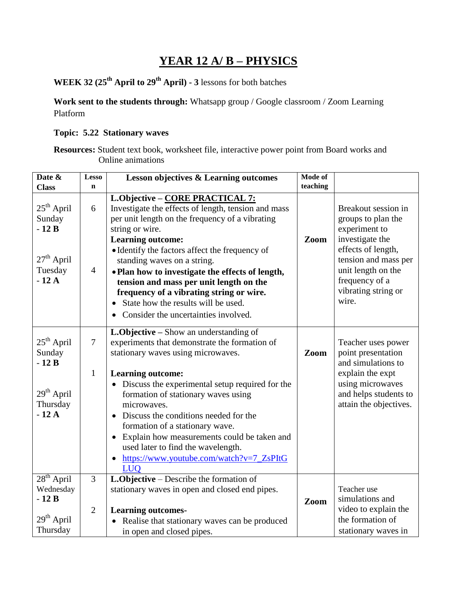## **YEAR 12 A/ B – PHYSICS**

**WEEK 32 (25th April to 29th April) - 3** lessons for both batches

**Work sent to the students through:** Whatsapp group / Google classroom / Zoom Learning Platform

#### **Topic: 5.22 Stationary waves**

**Resources:** Student text book, worksheet file, interactive power point from Board works and Online animations

| Date &<br><b>Class</b>                                                    | <b>Lesso</b><br>$\mathbf n$      | <b>Lesson objectives &amp; Learning outcomes</b>                                                                                                                                                                                                                                                                                                                                       | Mode of<br>teaching |                                                                                                                             |
|---------------------------------------------------------------------------|----------------------------------|----------------------------------------------------------------------------------------------------------------------------------------------------------------------------------------------------------------------------------------------------------------------------------------------------------------------------------------------------------------------------------------|---------------------|-----------------------------------------------------------------------------------------------------------------------------|
|                                                                           |                                  | L.Objective - CORE PRACTICAL 7:                                                                                                                                                                                                                                                                                                                                                        |                     |                                                                                                                             |
| $25th$ April<br>Sunday<br>$-12B$<br>$27th$ April                          | 6                                | Investigate the effects of length, tension and mass<br>per unit length on the frequency of a vibrating<br>string or wire.<br><b>Learning outcome:</b><br>• Identify the factors affect the frequency of<br>standing waves on a string.                                                                                                                                                 | Zoom                | Breakout session in<br>groups to plan the<br>experiment to<br>investigate the<br>effects of length,<br>tension and mass per |
| Tuesday<br>$-12A$                                                         | $\overline{4}$                   | • Plan how to investigate the effects of length,<br>tension and mass per unit length on the<br>frequency of a vibrating string or wire.<br>State how the results will be used.<br>Consider the uncertainties involved.                                                                                                                                                                 |                     | unit length on the<br>frequency of a<br>vibrating string or<br>wire.                                                        |
| $25th$ April<br>Sunday<br>$-12B$                                          | $\overline{7}$                   | L.Objective – Show an understanding of<br>experiments that demonstrate the formation of<br>stationary waves using microwaves.                                                                                                                                                                                                                                                          | Zoom                | Teacher uses power<br>point presentation<br>and simulations to                                                              |
| 29 <sup>th</sup> April<br>Thursday<br>$-12A$                              | $\mathbf{1}$                     | <b>Learning outcome:</b><br>Discuss the experimental setup required for the<br>formation of stationary waves using<br>microwaves.<br>Discuss the conditions needed for the<br>formation of a stationary wave.<br>Explain how measurements could be taken and<br>$\bullet$<br>used later to find the wavelength.<br>https://www.youtube.com/watch?v=7_ZsPItG<br>$\bullet$<br><b>LUO</b> |                     | explain the expt<br>using microwaves<br>and helps students to<br>attain the objectives.                                     |
| $28th$ April<br>Wednesday<br>$-12B$<br>29 <sup>th</sup> April<br>Thursday | $\overline{3}$<br>$\overline{2}$ | <b>L.Objective</b> – Describe the formation of<br>stationary waves in open and closed end pipes.<br><b>Learning outcomes-</b><br>Realise that stationary waves can be produced<br>in open and closed pipes.                                                                                                                                                                            | Zoom                | Teacher use<br>simulations and<br>video to explain the<br>the formation of<br>stationary waves in                           |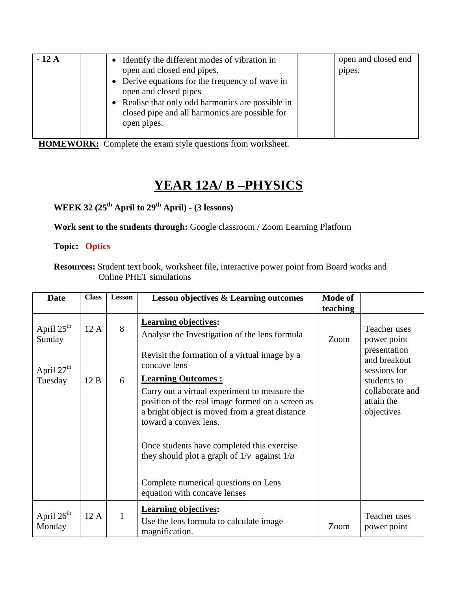| $-12A$ | Identify the different modes of vibration in      | open and closed end |
|--------|---------------------------------------------------|---------------------|
|        | open and closed end pipes.                        | pipes.              |
|        | • Derive equations for the frequency of wave in   |                     |
|        | open and closed pipes                             |                     |
|        | • Realise that only odd harmonics are possible in |                     |
|        | closed pipe and all harmonics are possible for    |                     |
|        | open pipes.                                       |                     |
|        |                                                   |                     |

 **HOMEWORK:** Complete the exam style questions from worksheet.

# **YEAR 12A/ B –PHYSICS**

**WEEK 32 (25th April to 29th April) - (3 lessons)** 

**Work sent to the students through:** Google classroom / Zoom Learning Platform

**Topic: Optics**

**Resources:** Student text book, worksheet file, interactive power point from Board works and Online PHET simulations

| <b>Date</b>                      | <b>Class</b> | <b>Lesson</b> | <b>Lesson objectives &amp; Learning outcomes</b>                                                                                                                             | <b>Mode of</b> |                                              |
|----------------------------------|--------------|---------------|------------------------------------------------------------------------------------------------------------------------------------------------------------------------------|----------------|----------------------------------------------|
|                                  |              |               |                                                                                                                                                                              | teaching       |                                              |
| April 25 <sup>th</sup><br>Sunday | 12 A         | 8             | <b>Learning objectives:</b><br>Analyse the Investigation of the lens formula                                                                                                 | Zoom           | Teacher uses<br>power point                  |
| April 27 <sup>th</sup>           |              |               | Revisit the formation of a virtual image by a<br>concave lens                                                                                                                |                | presentation<br>and breakout<br>sessions for |
| Tuesday                          | 12B          | 6             | <b>Learning Outcomes:</b>                                                                                                                                                    |                | students to                                  |
|                                  |              |               | Carry out a virtual experiment to measure the<br>position of the real image formed on a screen as<br>a bright object is moved from a great distance<br>toward a convex lens. |                | collaborate and<br>attain the<br>objectives  |
|                                  |              |               | Once students have completed this exercise<br>they should plot a graph of $1/v$ against $1/u$                                                                                |                |                                              |
|                                  |              |               | Complete numerical questions on Lens<br>equation with concave lenses                                                                                                         |                |                                              |
| April $26th$<br>Monday           | 12A          | 1             | <b>Learning objectives:</b><br>Use the lens formula to calculate image.<br>magnification.                                                                                    | Zoom           | Teacher uses<br>power point                  |